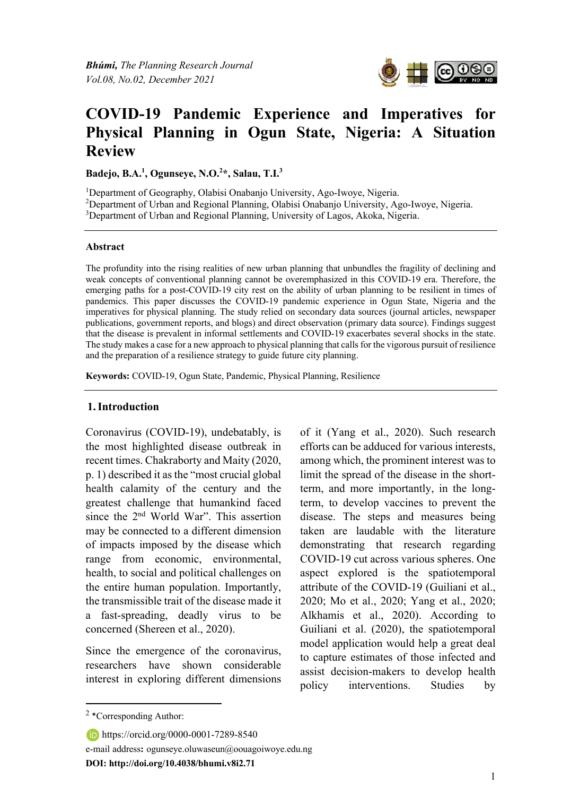*Bhúmi, The Planning Research Journal Vol.08, No.02, December 2021* 



# **COVID-19 Pandemic Experience and Imperatives for Physical Planning in Ogun State, Nigeria: A Situation Review**

**Badejo, B.A.1 , Ogunseye, N.O.2 \*, Salau, T.I.3**

<sup>1</sup>Department of Geography, Olabisi Onabanjo University, Ago-Iwoye, Nigeria. <sup>2</sup>Department of Urban and Regional Planning, Olabisi Onabanjo University, Ago-Iwoye, Nigeria. <sup>3</sup>Department of Urban and Regional Planning, University of Lagos, Akoka, Nigeria.

#### **Abstract**

The profundity into the rising realities of new urban planning that unbundles the fragility of declining and weak concepts of conventional planning cannot be overemphasized in this COVID-19 era. Therefore, the emerging paths for a post-COVID-19 city rest on the ability of urban planning to be resilient in times of pandemics. This paper discusses the COVID-19 pandemic experience in Ogun State, Nigeria and the imperatives for physical planning. The study relied on secondary data sources (journal articles, newspaper publications, government reports, and blogs) and direct observation (primary data source). Findings suggest that the disease is prevalent in informal settlements and COVID-19 exacerbates several shocks in the state. The study makes a case for a new approach to physical planning that calls for the vigorous pursuit of resilience and the preparation of a resilience strategy to guide future city planning.

**Keywords:** COVID-19, Ogun State, Pandemic, Physical Planning, Resilience

#### **1.Introduction**

Coronavirus (COVID-19), undebatably, is the most highlighted disease outbreak in recent times. Chakraborty and Maity (2020, p. 1) described it as the "most crucial global health calamity of the century and the greatest challenge that humankind faced since the 2nd World War". This assertion may be connected to a different dimension of impacts imposed by the disease which range from economic, environmental, health, to social and political challenges on the entire human population. Importantly, the transmissible trait of the disease made it a fast-spreading, deadly virus to be concerned (Shereen et al., 2020).

Since the emergence of the coronavirus, researchers have shown considerable interest in exploring different dimensions of it (Yang et al., 2020). Such research efforts can be adduced for various interests, among which, the prominent interest was to limit the spread of the disease in the shortterm, and more importantly, in the longterm, to develop vaccines to prevent the disease. The steps and measures being taken are laudable with the literature demonstrating that research regarding COVID-19 cut across various spheres. One aspect explored is the spatiotemporal attribute of the COVID-19 (Guiliani et al., 2020; Mo et al., 2020; Yang et al., 2020; Alkhamis et al., 2020). According to Guiliani et al. (2020), the spatiotemporal model application would help a great deal to capture estimates of those infected and assist decision-makers to develop health policy interventions. Studies by

https://orcid.org/0000-0001-7289-8540 e-mail address**:** ogunseye.oluwaseun@oouagoiwoye.edu.ng **DOI: http://doi.org/10.4038/bhumi.v8i2.71**

 $2 *$ Corresponding Author: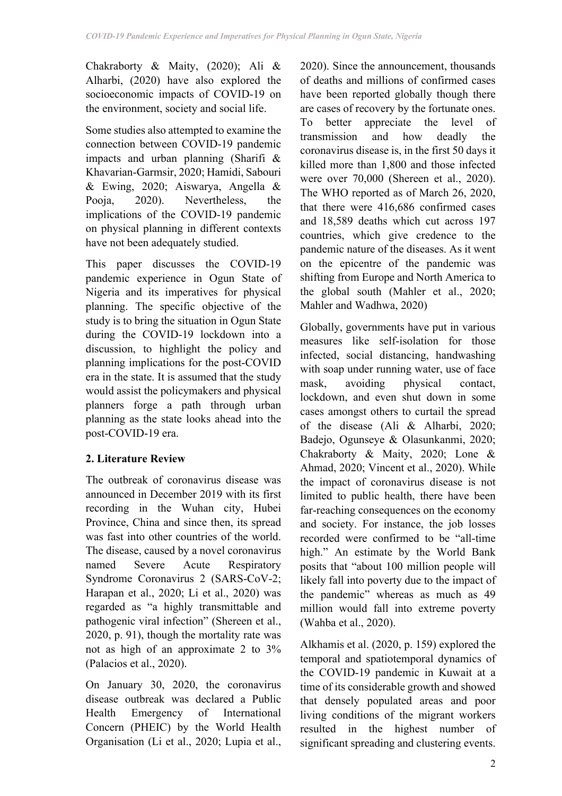Chakraborty & Maity, (2020); Ali & Alharbi, (2020) have also explored the socioeconomic impacts of COVID-19 on the environment, society and social life.

Some studies also attempted to examine the connection between COVID-19 pandemic impacts and urban planning (Sharifi & Khavarian-Garmsir, 2020; Hamidi, Sabouri & Ewing, 2020; Aiswarya, Angella & Pooja, 2020). Nevertheless, the implications of the COVID-19 pandemic on physical planning in different contexts have not been adequately studied.

This paper discusses the COVID-19 pandemic experience in Ogun State of Nigeria and its imperatives for physical planning. The specific objective of the study is to bring the situation in Ogun State during the COVID-19 lockdown into a discussion, to highlight the policy and planning implications for the post-COVID era in the state. It is assumed that the study would assist the policymakers and physical planners forge a path through urban planning as the state looks ahead into the post-COVID-19 era.

# **2. Literature Review**

The outbreak of coronavirus disease was announced in December 2019 with its first recording in the Wuhan city, Hubei Province, China and since then, its spread was fast into other countries of the world. The disease, caused by a novel coronavirus named Severe Acute Respiratory Syndrome Coronavirus 2 (SARS-CoV-2; Harapan et al., 2020; Li et al., 2020) was regarded as "a highly transmittable and pathogenic viral infection" (Shereen et al., 2020, p. 91), though the mortality rate was not as high of an approximate 2 to 3% (Palacios et al., 2020).

On January 30, 2020, the coronavirus disease outbreak was declared a Public Health Emergency of International Concern (PHEIC) by the World Health Organisation (Li et al., 2020; Lupia et al., 2020). Since the announcement, thousands of deaths and millions of confirmed cases have been reported globally though there are cases of recovery by the fortunate ones. To better appreciate the level of transmission and how deadly the coronavirus disease is, in the first 50 days it killed more than 1,800 and those infected were over 70,000 (Shereen et al., 2020). The WHO reported as of March 26, 2020, that there were 416,686 confirmed cases and 18,589 deaths which cut across 197 countries, which give credence to the pandemic nature of the diseases. As it went on the epicentre of the pandemic was shifting from Europe and North America to the global south (Mahler et al., 2020; Mahler and Wadhwa, 2020)

Globally, governments have put in various measures like self-isolation for those infected, social distancing, handwashing with soap under running water, use of face mask, avoiding physical contact, lockdown, and even shut down in some cases amongst others to curtail the spread of the disease (Ali & Alharbi, 2020; Badejo, Ogunseye & Olasunkanmi, 2020; Chakraborty & Maity, 2020; Lone & Ahmad, 2020; Vincent et al., 2020). While the impact of coronavirus disease is not limited to public health, there have been far-reaching consequences on the economy and society. For instance, the job losses recorded were confirmed to be "all-time high." An estimate by the World Bank posits that "about 100 million people will likely fall into poverty due to the impact of the pandemic" whereas as much as 49 million would fall into extreme poverty (Wahba et al., 2020).

Alkhamis et al. (2020, p. 159) explored the temporal and spatiotemporal dynamics of the COVID-19 pandemic in Kuwait at a time of its considerable growth and showed that densely populated areas and poor living conditions of the migrant workers resulted in the highest number of significant spreading and clustering events.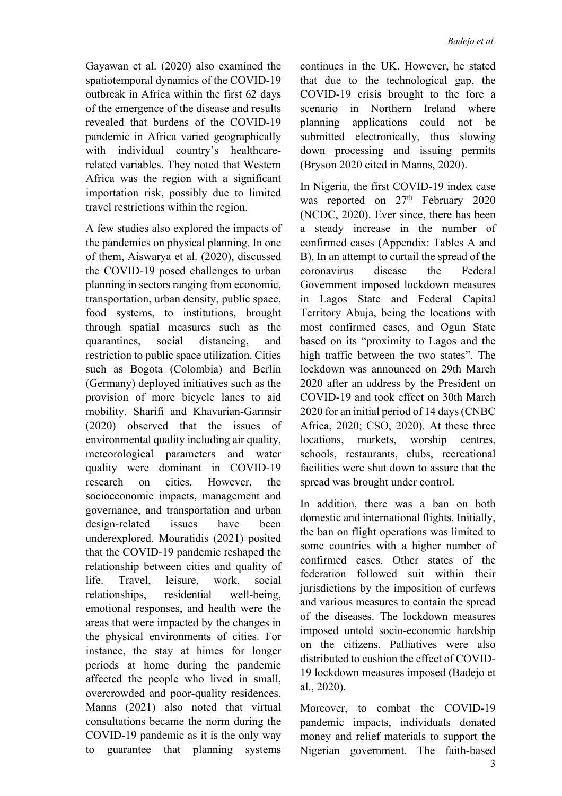Gayawan et al. (2020) also examined the spatiotemporal dynamics of the COVID-19 outbreak in Africa within the first 62 days of the emergence of the disease and results revealed that burdens of the COVID-19 pandemic in Africa varied geographically with individual country's healthcarerelated variables. They noted that Western Africa was the region with a significant importation risk, possibly due to limited travel restrictions within the region.

A few studies also explored the impacts of the pandemics on physical planning. In one of them, Aiswarya et al. (2020), discussed the COVID-19 posed challenges to urban planning in sectors ranging from economic, transportation, urban density, public space, food systems, to institutions, brought through spatial measures such as the quarantines, social distancing, and restriction to public space utilization. Cities such as Bogota (Colombia) and Berlin (Germany) deployed initiatives such as the provision of more bicycle lanes to aid mobility. Sharifi and Khavarian-Garmsir (2020) observed that the issues of environmental quality including air quality, meteorological parameters and water quality were dominant in COVID-19 research on cities. However, the socioeconomic impacts, management and governance, and transportation and urban design-related issues have been underexplored. Mouratidis (2021) posited that the COVID-19 pandemic reshaped the relationship between cities and quality of life. Travel, leisure, work, social relationships, residential well-being, emotional responses, and health were the areas that were impacted by the changes in the physical environments of cities. For instance, the stay at himes for longer periods at home during the pandemic affected the people who lived in small, overcrowded and poor-quality residences. Manns (2021) also noted that virtual consultations became the norm during the COVID-19 pandemic as it is the only way to guarantee that planning systems

continues in the UK. However, he stated that due to the technological gap, the COVID-19 crisis brought to the fore a scenario in Northern Ireland where planning applications could not be submitted electronically, thus slowing down processing and issuing permits (Bryson 2020 cited in Manns, 2020).

In Nigeria, the first COVID-19 index case was reported on 27<sup>th</sup> February 2020 (NCDC, 2020). Ever since, there has been a steady increase in the number of confirmed cases (Appendix: Tables A and B). In an attempt to curtail the spread of the coronavirus disease the Federal Government imposed lockdown measures in Lagos State and Federal Capital Territory Abuja, being the locations with most confirmed cases, and Ogun State based on its "proximity to Lagos and the high traffic between the two states". The lockdown was announced on 29th March 2020 after an address by the President on COVID-19 and took effect on 30th March 2020 for an initial period of 14 days (CNBC Africa, 2020; CSO, 2020). At these three locations, markets, worship centres, schools, restaurants, clubs, recreational facilities were shut down to assure that the spread was brought under control.

In addition, there was a ban on both domestic and international flights. Initially, the ban on flight operations was limited to some countries with a higher number of confirmed cases. Other states of the federation followed suit within their jurisdictions by the imposition of curfews and various measures to contain the spread of the diseases. The lockdown measures imposed untold socio-economic hardship on the citizens. Palliatives were also distributed to cushion the effect of COVID-19 lockdown measures imposed (Badejo et al., 2020).

Moreover, to combat the COVID-19 pandemic impacts, individuals donated money and relief materials to support the Nigerian government. The faith-based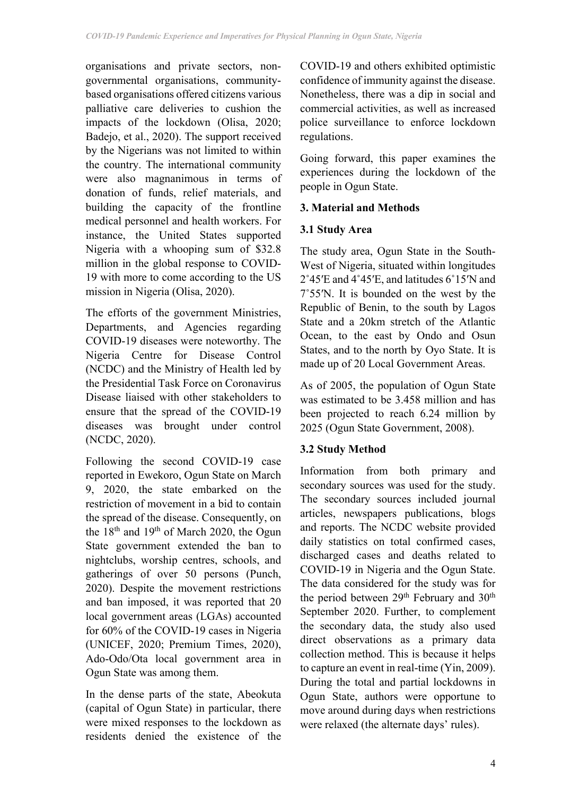organisations and private sectors, nongovernmental organisations, communitybased organisations offered citizens various palliative care deliveries to cushion the impacts of the lockdown (Olisa, 2020; Badejo, et al., 2020). The support received by the Nigerians was not limited to within the country. The international community were also magnanimous in terms of donation of funds, relief materials, and building the capacity of the frontline medical personnel and health workers. For instance, the United States supported Nigeria with a whooping sum of \$32.8 million in the global response to COVID-19 with more to come according to the US mission in Nigeria (Olisa, 2020).

The efforts of the government Ministries, Departments, and Agencies regarding COVID-19 diseases were noteworthy. The Nigeria Centre for Disease Control (NCDC) and the Ministry of Health led by the Presidential Task Force on Coronavirus Disease liaised with other stakeholders to ensure that the spread of the COVID-19 diseases was brought under control (NCDC, 2020).

Following the second COVID-19 case reported in Ewekoro, Ogun State on March 9, 2020, the state embarked on the restriction of movement in a bid to contain the spread of the disease. Consequently, on the 18th and 19th of March 2020, the Ogun State government extended the ban to nightclubs, worship centres, schools, and gatherings of over 50 persons (Punch, 2020). Despite the movement restrictions and ban imposed, it was reported that 20 local government areas (LGAs) accounted for 60% of the COVID-19 cases in Nigeria (UNICEF, 2020; Premium Times, 2020), Ado-Odo/Ota local government area in Ogun State was among them.

In the dense parts of the state, Abeokuta (capital of Ogun State) in particular, there were mixed responses to the lockdown as residents denied the existence of the COVID-19 and others exhibited optimistic confidence of immunity against the disease. Nonetheless, there was a dip in social and commercial activities, as well as increased police surveillance to enforce lockdown regulations.

Going forward, this paper examines the experiences during the lockdown of the people in Ogun State.

## **3. Material and Methods**

## **3.1 Study Area**

The study area, Ogun State in the South-West of Nigeria, situated within longitudes 2˚45ʹE and 4˚45ʹE, and latitudes 6˚15ʹN and 7˚55ʹN. It is bounded on the west by the Republic of Benin, to the south by Lagos State and a 20km stretch of the Atlantic Ocean, to the east by Ondo and Osun States, and to the north by Oyo State. It is made up of 20 Local Government Areas.

As of 2005, the population of Ogun State was estimated to be 3.458 million and has been projected to reach 6.24 million by 2025 (Ogun State Government, 2008).

## **3.2 Study Method**

Information from both primary and secondary sources was used for the study. The secondary sources included journal articles, newspapers publications, blogs and reports. The NCDC website provided daily statistics on total confirmed cases, discharged cases and deaths related to COVID-19 in Nigeria and the Ogun State. The data considered for the study was for the period between 29<sup>th</sup> February and 30<sup>th</sup> September 2020. Further, to complement the secondary data, the study also used direct observations as a primary data collection method. This is because it helps to capture an event in real-time (Yin, 2009). During the total and partial lockdowns in Ogun State, authors were opportune to move around during days when restrictions were relaxed (the alternate days' rules).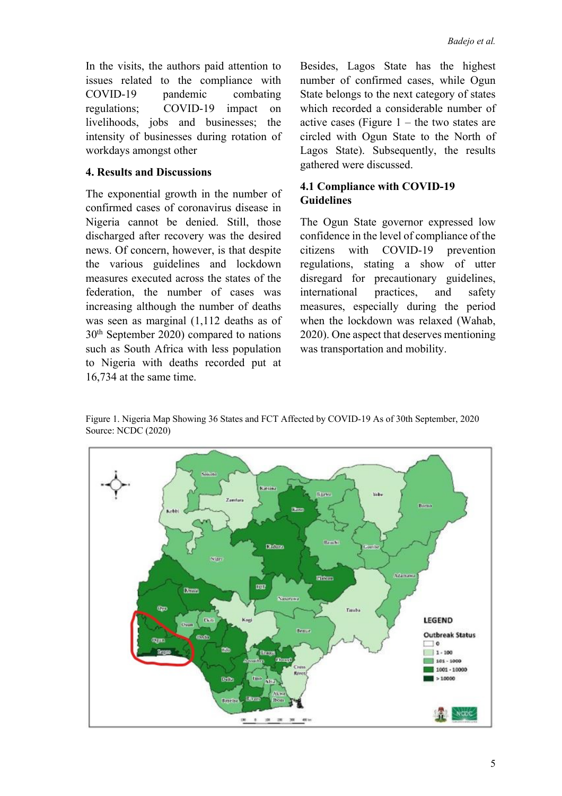In the visits, the authors paid attention to issues related to the compliance with COVID-19 pandemic combating regulations; COVID-19 impact on livelihoods, jobs and businesses; the intensity of businesses during rotation of workdays amongst other

#### **4. Results and Discussions**

The exponential growth in the number of confirmed cases of coronavirus disease in Nigeria cannot be denied. Still, those discharged after recovery was the desired news. Of concern, however, is that despite the various guidelines and lockdown measures executed across the states of the federation, the number of cases was increasing although the number of deaths was seen as marginal (1,112 deaths as of 30th September 2020) compared to nations such as South Africa with less population to Nigeria with deaths recorded put at 16,734 at the same time.

Besides, Lagos State has the highest number of confirmed cases, while Ogun State belongs to the next category of states which recorded a considerable number of active cases (Figure  $1$  – the two states are circled with Ogun State to the North of Lagos State). Subsequently, the results gathered were discussed.

# **4.1 Compliance with COVID-19 Guidelines**

The Ogun State governor expressed low confidence in the level of compliance of the citizens with COVID-19 prevention regulations, stating a show of utter disregard for precautionary guidelines, international practices, and safety measures, especially during the period when the lockdown was relaxed (Wahab, 2020). One aspect that deserves mentioning was transportation and mobility.

Figure 1. Nigeria Map Showing 36 States and FCT Affected by COVID-19 As of 30th September, 2020 Source: NCDC (2020)

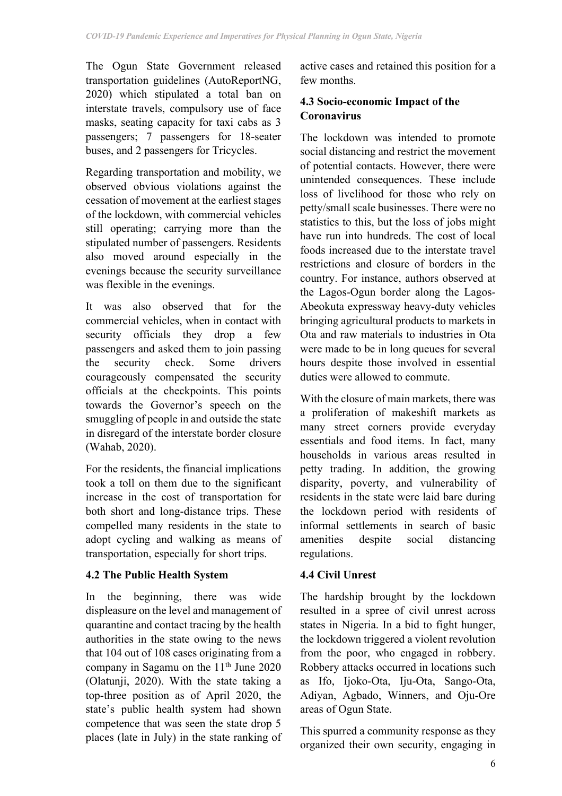The Ogun State Government released transportation guidelines (AutoReportNG, 2020) which stipulated a total ban on interstate travels, compulsory use of face masks, seating capacity for taxi cabs as 3 passengers; 7 passengers for 18-seater buses, and 2 passengers for Tricycles.

Regarding transportation and mobility, we observed obvious violations against the cessation of movement at the earliest stages of the lockdown, with commercial vehicles still operating; carrying more than the stipulated number of passengers. Residents also moved around especially in the evenings because the security surveillance was flexible in the evenings.

It was also observed that for the commercial vehicles, when in contact with security officials they drop a few passengers and asked them to join passing the security check. Some drivers courageously compensated the security officials at the checkpoints. This points towards the Governor's speech on the smuggling of people in and outside the state in disregard of the interstate border closure (Wahab, 2020).

For the residents, the financial implications took a toll on them due to the significant increase in the cost of transportation for both short and long-distance trips. These compelled many residents in the state to adopt cycling and walking as means of transportation, especially for short trips.

## **4.2 The Public Health System**

In the beginning, there was wide displeasure on the level and management of quarantine and contact tracing by the health authorities in the state owing to the news that 104 out of 108 cases originating from a company in Sagamu on the  $11<sup>th</sup>$  June 2020 (Olatunji, 2020). With the state taking a top-three position as of April 2020, the state's public health system had shown competence that was seen the state drop 5 places (late in July) in the state ranking of active cases and retained this position for a few months.

# **4.3 Socio-economic Impact of the Coronavirus**

The lockdown was intended to promote social distancing and restrict the movement of potential contacts. However, there were unintended consequences. These include loss of livelihood for those who rely on petty/small scale businesses. There were no statistics to this, but the loss of jobs might have run into hundreds. The cost of local foods increased due to the interstate travel restrictions and closure of borders in the country. For instance, authors observed at the Lagos-Ogun border along the Lagos-Abeokuta expressway heavy-duty vehicles bringing agricultural products to markets in Ota and raw materials to industries in Ota were made to be in long queues for several hours despite those involved in essential duties were allowed to commute.

With the closure of main markets, there was a proliferation of makeshift markets as many street corners provide everyday essentials and food items. In fact, many households in various areas resulted in petty trading. In addition, the growing disparity, poverty, and vulnerability of residents in the state were laid bare during the lockdown period with residents of informal settlements in search of basic amenities despite social distancing regulations.

## **4.4 Civil Unrest**

The hardship brought by the lockdown resulted in a spree of civil unrest across states in Nigeria. In a bid to fight hunger, the lockdown triggered a violent revolution from the poor, who engaged in robbery. Robbery attacks occurred in locations such as Ifo, Ijoko-Ota, Iju-Ota, Sango-Ota, Adiyan, Agbado, Winners, and Oju-Ore areas of Ogun State.

This spurred a community response as they organized their own security, engaging in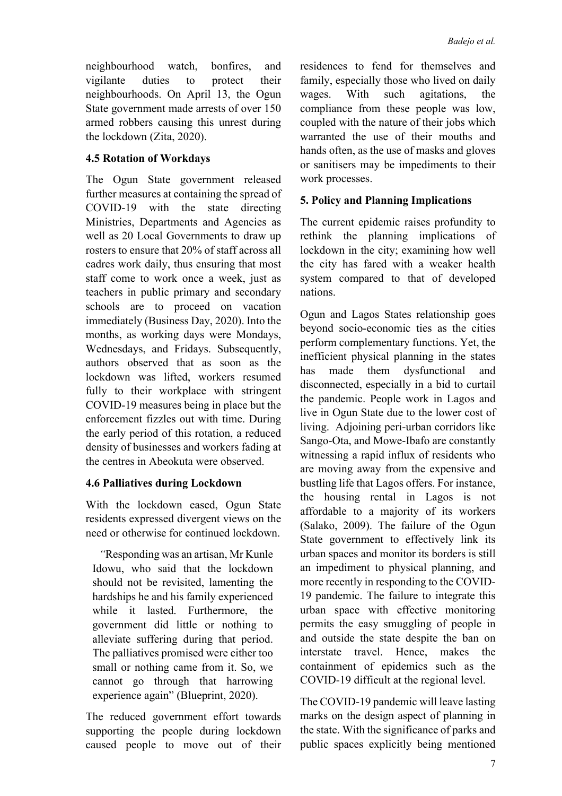neighbourhood watch, bonfires, and vigilante duties to protect their neighbourhoods. On April 13, the Ogun State government made arrests of over 150 armed robbers causing this unrest during the lockdown (Zita, 2020).

# **4.5 Rotation of Workdays**

The Ogun State government released further measures at containing the spread of COVID-19 with the state directing Ministries, Departments and Agencies as well as 20 Local Governments to draw up rosters to ensure that 20% of staff across all cadres work daily, thus ensuring that most staff come to work once a week, just as teachers in public primary and secondary schools are to proceed on vacation immediately (Business Day, 2020). Into the months, as working days were Mondays, Wednesdays, and Fridays. Subsequently, authors observed that as soon as the lockdown was lifted, workers resumed fully to their workplace with stringent COVID-19 measures being in place but the enforcement fizzles out with time. During the early period of this rotation, a reduced density of businesses and workers fading at the centres in Abeokuta were observed.

# **4.6 Palliatives during Lockdown**

With the lockdown eased, Ogun State residents expressed divergent views on the need or otherwise for continued lockdown.

*"*Responding was an artisan, Mr Kunle Idowu, who said that the lockdown should not be revisited, lamenting the hardships he and his family experienced while it lasted. Furthermore, the government did little or nothing to alleviate suffering during that period. The palliatives promised were either too small or nothing came from it. So, we cannot go through that harrowing experience again" (Blueprint, 2020).

The reduced government effort towards supporting the people during lockdown caused people to move out of their residences to fend for themselves and family, especially those who lived on daily wages. With such agitations, the compliance from these people was low, coupled with the nature of their jobs which warranted the use of their mouths and hands often, as the use of masks and gloves or sanitisers may be impediments to their work processes.

# **5. Policy and Planning Implications**

The current epidemic raises profundity to rethink the planning implications of lockdown in the city; examining how well the city has fared with a weaker health system compared to that of developed nations.

Ogun and Lagos States relationship goes beyond socio-economic ties as the cities perform complementary functions. Yet, the inefficient physical planning in the states has made them dysfunctional and disconnected, especially in a bid to curtail the pandemic. People work in Lagos and live in Ogun State due to the lower cost of living. Adjoining peri-urban corridors like Sango-Ota, and Mowe-Ibafo are constantly witnessing a rapid influx of residents who are moving away from the expensive and bustling life that Lagos offers. For instance, the housing rental in Lagos is not affordable to a majority of its workers (Salako, 2009). The failure of the Ogun State government to effectively link its urban spaces and monitor its borders is still an impediment to physical planning, and more recently in responding to the COVID-19 pandemic. The failure to integrate this urban space with effective monitoring permits the easy smuggling of people in and outside the state despite the ban on interstate travel. Hence, makes the containment of epidemics such as the COVID-19 difficult at the regional level.

The COVID-19 pandemic will leave lasting marks on the design aspect of planning in the state. With the significance of parks and public spaces explicitly being mentioned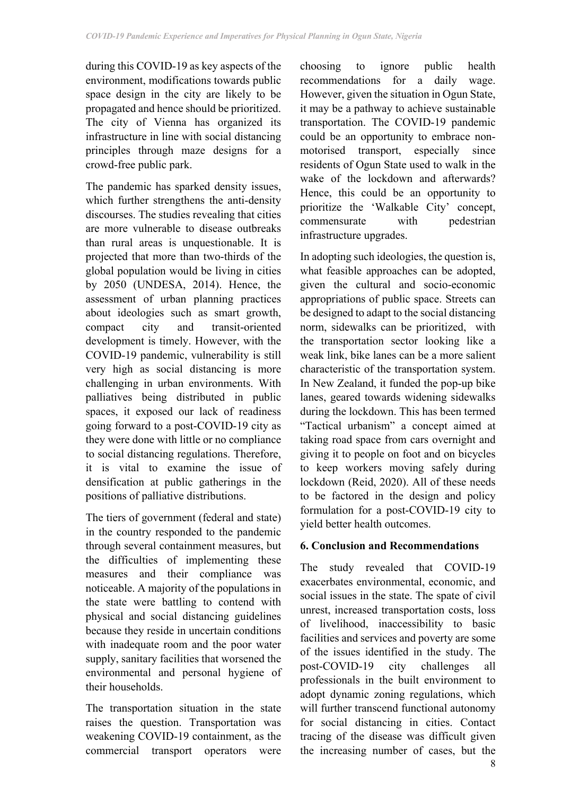during this COVID-19 as key aspects of the environment, modifications towards public space design in the city are likely to be propagated and hence should be prioritized. The city of Vienna has organized its infrastructure in line with social distancing principles through maze designs for a crowd-free public park.

The pandemic has sparked density issues, which further strengthens the anti-density discourses. The studies revealing that cities are more vulnerable to disease outbreaks than rural areas is unquestionable. It is projected that more than two-thirds of the global population would be living in cities by 2050 (UNDESA, 2014). Hence, the assessment of urban planning practices about ideologies such as smart growth, compact city and transit-oriented development is timely. However, with the COVID-19 pandemic, vulnerability is still very high as social distancing is more challenging in urban environments. With palliatives being distributed in public spaces, it exposed our lack of readiness going forward to a post-COVID-19 city as they were done with little or no compliance to social distancing regulations. Therefore, it is vital to examine the issue of densification at public gatherings in the positions of palliative distributions.

The tiers of government (federal and state) in the country responded to the pandemic through several containment measures, but the difficulties of implementing these measures and their compliance was noticeable. A majority of the populations in the state were battling to contend with physical and social distancing guidelines because they reside in uncertain conditions with inadequate room and the poor water supply, sanitary facilities that worsened the environmental and personal hygiene of their households.

The transportation situation in the state raises the question. Transportation was weakening COVID-19 containment, as the commercial transport operators were choosing to ignore public health recommendations for a daily wage. However, given the situation in Ogun State, it may be a pathway to achieve sustainable transportation. The COVID-19 pandemic could be an opportunity to embrace nonmotorised transport, especially since residents of Ogun State used to walk in the wake of the lockdown and afterwards? Hence, this could be an opportunity to prioritize the 'Walkable City' concept, commensurate with pedestrian infrastructure upgrades.

In adopting such ideologies, the question is, what feasible approaches can be adopted, given the cultural and socio-economic appropriations of public space. Streets can be designed to adapt to the social distancing norm, sidewalks can be prioritized, with the transportation sector looking like a weak link, bike lanes can be a more salient characteristic of the transportation system. In New Zealand, it funded the pop-up bike lanes, geared towards widening sidewalks during the lockdown. This has been termed "Tactical urbanism" a concept aimed at taking road space from cars overnight and giving it to people on foot and on bicycles to keep workers moving safely during lockdown (Reid, 2020). All of these needs to be factored in the design and policy formulation for a post-COVID-19 city to yield better health outcomes.

## **6. Conclusion and Recommendations**

The study revealed that COVID-19 exacerbates environmental, economic, and social issues in the state. The spate of civil unrest, increased transportation costs, loss of livelihood, inaccessibility to basic facilities and services and poverty are some of the issues identified in the study. The post-COVID-19 city challenges all professionals in the built environment to adopt dynamic zoning regulations, which will further transcend functional autonomy for social distancing in cities. Contact tracing of the disease was difficult given the increasing number of cases, but the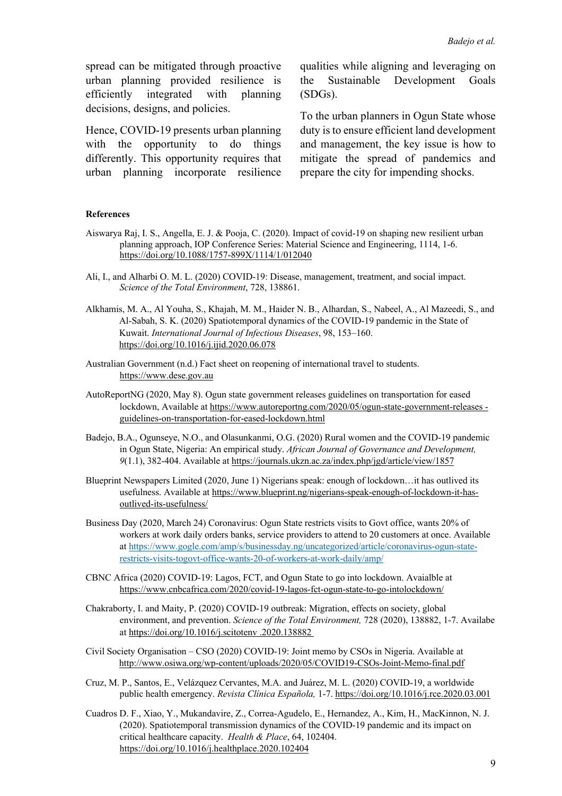spread can be mitigated through proactive urban planning provided resilience is efficiently integrated with planning decisions, designs, and policies.

Hence, COVID-19 presents urban planning with the opportunity to do things differently. This opportunity requires that urban planning incorporate resilience

qualities while aligning and leveraging on the Sustainable Development Goals (SDGs).

To the urban planners in Ogun State whose duty is to ensure efficient land development and management, the key issue is how to mitigate the spread of pandemics and prepare the city for impending shocks.

#### **References**

- Aiswarya Raj, I. S., Angella, E. J. & Pooja, C. (2020). Impact of covid-19 on shaping new resilient urban planning approach, IOP Conference Series: Material Science and Engineering, 1114, 1-6. https://doi.org/10.1088/1757-899X/1114/1/012040
- Ali, I., and Alharbi O. M. L. (2020) COVID-19: Disease, management, treatment, and social impact. *Science of the Total Environment*, 728, 138861.
- Alkhamis, M. A., Al Youha, S., Khajah, M. M., Haider N. B., Alhardan, S., Nabeel, A., Al Mazeedi, S., and Al-Sabah, S. K. (2020) Spatiotemporal dynamics of the COVID-19 pandemic in the State of Kuwait. *International Journal of Infectious Diseases*, 98, 153–160. https://doi.org/10.1016/j.ijid.2020.06.078
- Australian Government (n.d.) Fact sheet on reopening of international travel to students. https://www.dese.gov.au
- AutoReportNG (2020, May 8). Ogun state government releases guidelines on transportation for eased lockdown, Available at https://www.autoreportng.com/2020/05/ogun-state-government-releases guidelines-on-transportation-for-eased-lockdown.html
- Badejo, B.A., Ogunseye, N.O., and Olasunkanmi, O.G. (2020) Rural women and the COVID-19 pandemic in Ogun State, Nigeria: An empirical study. *African Journal of Governance and Development, 9*(1.1), 382-404. Available at https://journals.ukzn.ac.za/index.php/jgd/article/view/1857
- Blueprint Newspapers Limited (2020, June 1) Nigerians speak: enough of lockdown…it has outlived its usefulness. Available at https://www.blueprint.ng/nigerians-speak-enough-of-lockdown-it-hasoutlived-its-usefulness/
- Business Day (2020, March 24) Coronavirus: Ogun State restricts visits to Govt office, wants 20% of workers at work daily orders banks, service providers to attend to 20 customers at once. Available at https://www.gogle.com/amp/s/businessday.ng/uncategorized/article/coronavirus-ogun-staterestricts-visits-togovt-office-wants-20-of-workers-at-work-daily/amp/
- CBNC Africa (2020) COVID-19: Lagos, FCT, and Ogun State to go into lockdown. Avaialble at https://www.cnbcafrica.com/2020/covid-19-lagos-fct-ogun-state-to-go-intolockdown/
- Chakraborty, I. and Maity, P. (2020) COVID-19 outbreak: Migration, effects on society, global environment, and prevention. *Science of the Total Environment,* 728 (2020), 138882, 1-7. Availabe at https://doi.org/10.1016/j.scitotenv .2020.138882
- Civil Society Organisation CSO (2020) COVID-19: Joint memo by CSOs in Nigeria. Available at http://www.osiwa.org/wp-content/uploads/2020/05/COVID19-CSOs-Joint-Memo-final.pdf
- Cruz, M. P., Santos, E., Velázquez Cervantes, M.A. and Juárez, M. L. (2020) COVID-19, a worldwide public health emergency. *Revista Clínica Española,* 1-7. https://doi.org/10.1016/j.rce.2020.03.001
- Cuadros D. F., Xiao, Y., Mukandavire, Z., Correa-Agudelo, E., Hernandez, A., Kim, H., MacKinnon, N. J. (2020). Spatiotemporal transmission dynamics of the COVID-19 pandemic and its impact on critical healthcare capacity. *Health & Place*, 64, 102404. https://doi.org/10.1016/j.healthplace.2020.102404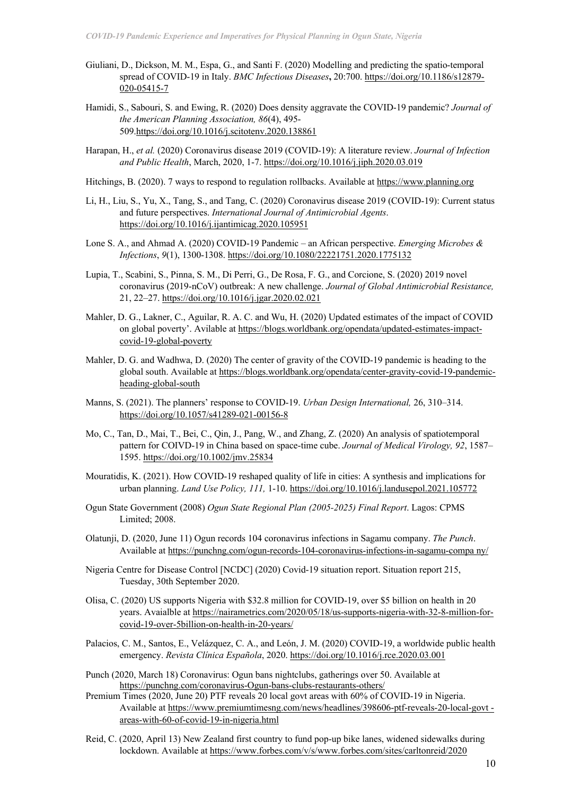- Giuliani, D., Dickson, M. M., Espa, G., and Santi F. (2020) Modelling and predicting the spatio-temporal spread of COVID-19 in Italy. *BMC Infectious Diseases***,** 20:700. https://doi.org/10.1186/s12879- 020-05415-7
- Hamidi, S., Sabouri, S. and Ewing, R. (2020) Does density aggravate the COVID-19 pandemic? *Journal of the American Planning Association, 86*(4), 495- 509.https://doi.org/10.1016/j.scitotenv.2020.138861
- Harapan, H., *et al.* (2020) Coronavirus disease 2019 (COVID-19): A literature review. *Journal of Infection and Public Health*, March, 2020, 1-7. https://doi.org/10.1016/j.jiph.2020.03.019
- Hitchings, B. (2020). 7 ways to respond to regulation rollbacks. Available at https://www.planning.org
- Li, H., Liu, S., Yu, X., Tang, S., and Tang, C. (2020) Coronavirus disease 2019 (COVID-19): Current status and future perspectives. *International Journal of Antimicrobial Agents*. https://doi.org/10.1016/j.ijantimicag.2020.105951
- Lone S. A., and Ahmad A. (2020) COVID-19 Pandemic an African perspective. *Emerging Microbes & Infections*, *9*(1), 1300-1308. https://doi.org/10.1080/22221751.2020.1775132
- Lupia, T., Scabini, S., Pinna, S. M., Di Perri, G., De Rosa, F. G., and Corcione, S. (2020) 2019 novel coronavirus (2019-nCoV) outbreak: A new challenge. *Journal of Global Antimicrobial Resistance,*  21, 22–27. https://doi.org/10.1016/j.jgar.2020.02.021
- Mahler, D. G., Lakner, C., Aguilar, R. A. C. and Wu, H. (2020) Updated estimates of the impact of COVID on global poverty'. Avilable at https://blogs.worldbank.org/opendata/updated-estimates-impactcovid-19-global-poverty
- Mahler, D. G. and Wadhwa, D. (2020) The center of gravity of the COVID-19 pandemic is heading to the global south. Available at https://blogs.worldbank.org/opendata/center-gravity-covid-19-pandemicheading-global-south
- Manns, S. (2021). The planners' response to COVID-19. *Urban Design International*, 26, 310–314. https://doi.org/10.1057/s41289-021-00156-8
- Mo, C., Tan, D., Mai, T., Bei, C., Qin, J., Pang, W., and Zhang, Z. (2020) An analysis of spatiotemporal pattern for COIVD‐19 in China based on space‐time cube. *Journal of Medical Virology, 92*, 1587– 1595. https://doi.org/10.1002/jmv.25834
- Mouratidis, K. (2021). How COVID-19 reshaped quality of life in cities: A synthesis and implications for urban planning. *Land Use Policy, 111,* 1-10. https://doi.org/10.1016/j.landusepol.2021.105772
- Ogun State Government (2008) *Ogun State Regional Plan (2005-2025) Final Report*. Lagos: CPMS Limited; 2008.
- Olatunji, D. (2020, June 11) Ogun records 104 coronavirus infections in Sagamu company. *The Punch*. Available at https://punchng.com/ogun-records-104-coronavirus-infections-in-sagamu-compa ny/
- Nigeria Centre for Disease Control [NCDC] (2020) Covid-19 situation report. Situation report 215, Tuesday, 30th September 2020.
- Olisa, C. (2020) US supports Nigeria with \$32.8 million for COVID-19, over \$5 billion on health in 20 years. Avaialble at https://nairametrics.com/2020/05/18/us-supports-nigeria-with-32-8-million-forcovid-19-over-5billion-on-health-in-20-years/
- Palacios, C. M., Santos, E., Velázquez, C. A., and León, J. M. (2020) COVID-19, a worldwide public health emergency. *Revista Clínica Española*, 2020. https://doi.org/10.1016/j.rce.2020.03.001
- Punch (2020, March 18) Coronavirus: Ogun bans nightclubs, gatherings over 50. Available at https://punchng.com/coronavirus-Ogun-bans-clubs-restaurants-others/
- Premium Times (2020, June 20) PTF reveals 20 local govt areas with 60% of COVID-19 in Nigeria. Available at https://www.premiumtimesng.com/news/headlines/398606-ptf-reveals-20-local-govt areas-with-60-of-covid-19-in-nigeria.html
- Reid, C. (2020, April 13) New Zealand first country to fund pop-up bike lanes, widened sidewalks during lockdown. Available at https://www.forbes.com/v/s/www.forbes.com/sites/carltonreid/2020